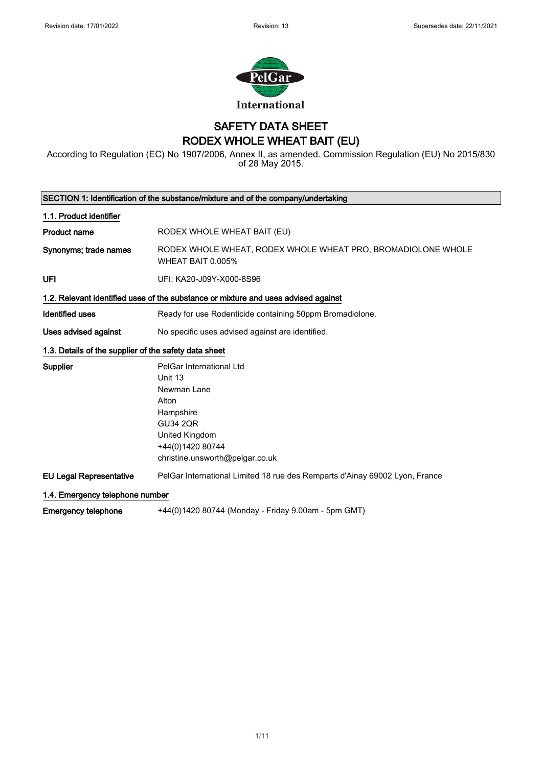

## SAFETY DATA SHEET RODEX WHOLE WHEAT BAIT (EU)

According to Regulation (EC) No 1907/2006, Annex II, as amended. Commission Regulation (EU) No 2015/830 of 28 May 2015.

| SECTION 1: Identification of the substance/mixture and of the company/undertaking |                                                                                             |  |
|-----------------------------------------------------------------------------------|---------------------------------------------------------------------------------------------|--|
| 1.1. Product identifier                                                           |                                                                                             |  |
| <b>Product name</b>                                                               | RODEX WHOLE WHEAT BAIT (EU)                                                                 |  |
| Synonyms; trade names                                                             | RODEX WHOLE WHEAT, RODEX WHOLE WHEAT PRO, BROMADIOLONE WHOLE<br>WHEAT BAIT 0.005%           |  |
| UFI                                                                               | UFI: KA20-J09Y-X000-8S96                                                                    |  |
|                                                                                   | 1.2. Relevant identified uses of the substance or mixture and uses advised against          |  |
| <b>Identified uses</b>                                                            | Ready for use Rodenticide containing 50ppm Bromadiolone.                                    |  |
| <b>Uses advised against</b>                                                       | No specific uses advised against are identified.                                            |  |
| 1.3. Details of the supplier of the safety data sheet                             |                                                                                             |  |
| Supplier                                                                          | PelGar International Ltd<br>Unit 13<br>Newman Lane<br>Alton<br>Hampshire<br><b>GU34 2QR</b> |  |
|                                                                                   | United Kingdom<br>+44(0)1420 80744<br>christine.unsworth@pelgar.co.uk                       |  |
| <b>EU Legal Representative</b>                                                    | PelGar International Limited 18 rue des Remparts d'Ainay 69002 Lyon, France                 |  |
| 1.4. Emergency telephone number                                                   |                                                                                             |  |
| <b>Emergency telephone</b>                                                        | +44(0)1420 80744 (Monday - Friday 9.00am - 5pm GMT)                                         |  |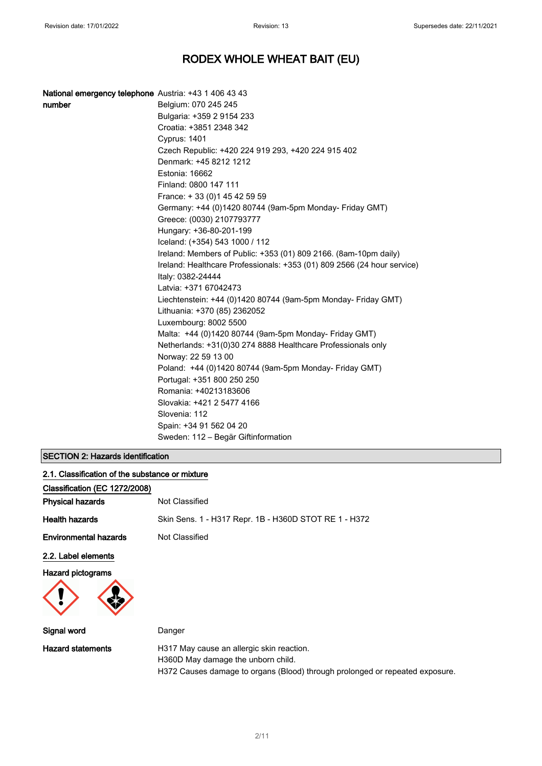| National emergency telephone Austria: +43 1 406 43 43 |                                                                                               |
|-------------------------------------------------------|-----------------------------------------------------------------------------------------------|
| number                                                | Belgium: 070 245 245                                                                          |
|                                                       | Bulgaria: +359 2 9154 233                                                                     |
|                                                       | Croatia: +3851 2348 342                                                                       |
|                                                       | Cyprus: 1401                                                                                  |
|                                                       | Czech Republic: +420 224 919 293, +420 224 915 402                                            |
|                                                       | Denmark: +45 8212 1212                                                                        |
|                                                       | Estonia: 16662                                                                                |
|                                                       | Finland: 0800 147 111                                                                         |
|                                                       | France: +33 (0) 145 42 59 59                                                                  |
|                                                       | Germany: +44 (0)1420 80744 (9am-5pm Monday- Friday GMT)                                       |
|                                                       | Greece: (0030) 2107793777                                                                     |
|                                                       | Hungary: +36-80-201-199                                                                       |
|                                                       | Iceland: (+354) 543 1000 / 112                                                                |
|                                                       | Ireland: Members of Public: +353 (01) 809 2166. (8am-10pm daily)                              |
|                                                       | Ireland: Healthcare Professionals: +353 (01) 809 2566 (24 hour service)<br>Italy: 0382-24444  |
|                                                       | Latvia: +371 67042473                                                                         |
|                                                       | Liechtenstein: +44 (0)1420 80744 (9am-5pm Monday- Friday GMT)<br>Lithuania: +370 (85) 2362052 |
|                                                       | Luxembourg: 8002 5500                                                                         |
|                                                       | Malta: +44 (0)1420 80744 (9am-5pm Monday- Friday GMT)                                         |
|                                                       | Netherlands: +31(0)30 274 8888 Healthcare Professionals only                                  |
|                                                       | Norway: 22 59 13 00                                                                           |
|                                                       | Poland: +44 (0)1420 80744 (9am-5pm Monday- Friday GMT)                                        |
|                                                       | Portugal: +351 800 250 250                                                                    |
|                                                       | Romania: +40213183606                                                                         |
|                                                       | Slovakia: +421 2 5477 4166                                                                    |
|                                                       | Slovenia: 112                                                                                 |
|                                                       | Spain: +34 91 562 04 20                                                                       |
|                                                       | Sweden: 112 – Begär Giftinformation                                                           |

### SECTION 2: Hazards identification

| 2.1. Classification of the substance or mixture |                                                                                 |
|-------------------------------------------------|---------------------------------------------------------------------------------|
| Classification (EC 1272/2008)                   |                                                                                 |
| <b>Physical hazards</b>                         | Not Classified                                                                  |
| <b>Health hazards</b>                           | Skin Sens. 1 - H317 Repr. 1B - H360D STOT RE 1 - H372                           |
| <b>Environmental hazards</b>                    | Not Classified                                                                  |
| 2.2. Label elements                             |                                                                                 |
| <b>Hazard pictograms</b>                        |                                                                                 |
| Signal word                                     | Danger                                                                          |
| <b>Hazard statements</b>                        | H317 May cause an allergic skin reaction.<br>H360D May damage the unborn child. |

H372 Causes damage to organs (Blood) through prolonged or repeated exposure.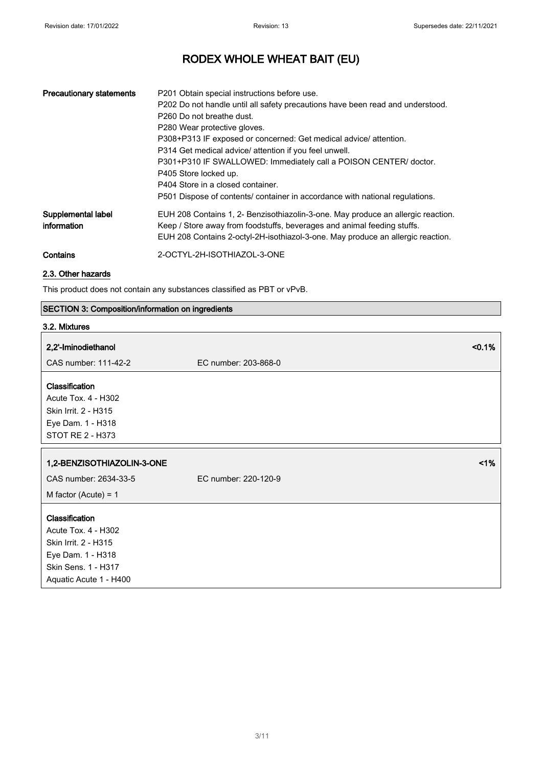| <b>Precautionary statements</b>   | P201 Obtain special instructions before use.<br>P202 Do not handle until all safety precautions have been read and understood.<br>P <sub>260</sub> Do not breathe dust.<br>P280 Wear protective gloves.<br>P308+P313 IF exposed or concerned: Get medical advice/ attention.<br>P314 Get medical advice/ attention if you feel unwell.<br>P301+P310 IF SWALLOWED: Immediately call a POISON CENTER/ doctor.<br>P405 Store locked up.<br>P404 Store in a closed container.<br>P501 Dispose of contents/ container in accordance with national regulations. |
|-----------------------------------|-----------------------------------------------------------------------------------------------------------------------------------------------------------------------------------------------------------------------------------------------------------------------------------------------------------------------------------------------------------------------------------------------------------------------------------------------------------------------------------------------------------------------------------------------------------|
| Supplemental label<br>information | EUH 208 Contains 1, 2- Benzisothiazolin-3-one. May produce an allergic reaction.<br>Keep / Store away from foodstuffs, beverages and animal feeding stuffs.<br>EUH 208 Contains 2-octyl-2H-isothiazol-3-one. May produce an allergic reaction.                                                                                                                                                                                                                                                                                                            |
| Contains                          | 2-OCTYL-2H-ISOTHIAZOL-3-ONE                                                                                                                                                                                                                                                                                                                                                                                                                                                                                                                               |

### 2.3. Other hazards

This product does not contain any substances classified as PBT or vPvB.

### SECTION 3: Composition/information on ingredients

### 3.2. Mixtures

| 2,2'-Iminodiethanol                                                                                       | < 0.1%               |
|-----------------------------------------------------------------------------------------------------------|----------------------|
| CAS number: 111-42-2                                                                                      | EC number: 203-868-0 |
| Classification<br>Acute Tox. 4 - H302<br>Skin Irrit. 2 - H315<br>Eye Dam. 1 - H318<br>STOT RE 2 - H373    |                      |
| 1,2-BENZISOTHIAZOLIN-3-ONE                                                                                | 1%                   |
| CAS number: 2634-33-5                                                                                     | EC number: 220-120-9 |
| M factor (Acute) = $1$                                                                                    |                      |
| Classification<br>Acute Tox. 4 - H302<br>Skin Irrit. 2 - H315<br>Eye Dam. 1 - H318<br>Skin Sens. 1 - H317 |                      |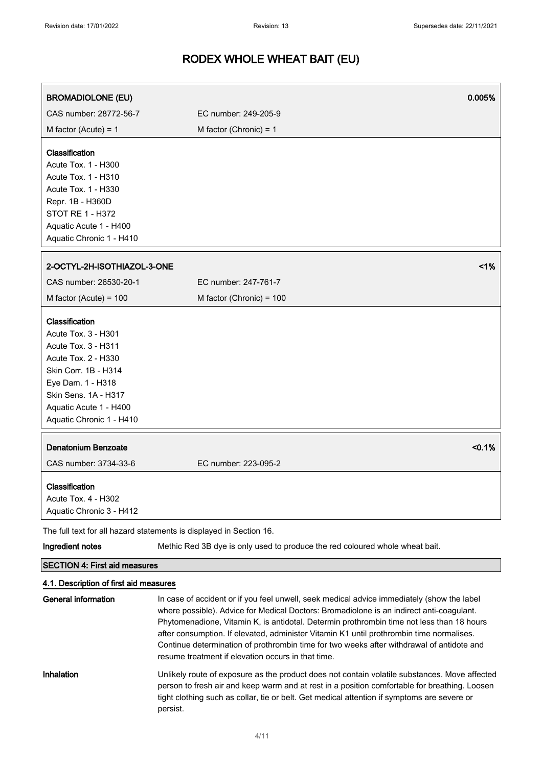| <b>BROMADIOLONE (EU)</b>                                                                                                                                                                                       | 0.005%                                                                                                                                                                                                                                                                                                                                                                          |  |
|----------------------------------------------------------------------------------------------------------------------------------------------------------------------------------------------------------------|---------------------------------------------------------------------------------------------------------------------------------------------------------------------------------------------------------------------------------------------------------------------------------------------------------------------------------------------------------------------------------|--|
| CAS number: 28772-56-7                                                                                                                                                                                         | EC number: 249-205-9                                                                                                                                                                                                                                                                                                                                                            |  |
| M factor (Acute) = $1$                                                                                                                                                                                         | M factor (Chronic) = $1$                                                                                                                                                                                                                                                                                                                                                        |  |
| Classification<br>Acute Tox. 1 - H300<br>Acute Tox. 1 - H310<br>Acute Tox. 1 - H330<br>Repr. 1B - H360D<br>STOT RE 1 - H372<br>Aquatic Acute 1 - H400<br>Aquatic Chronic 1 - H410                              |                                                                                                                                                                                                                                                                                                                                                                                 |  |
| 2-OCTYL-2H-ISOTHIAZOL-3-ONE                                                                                                                                                                                    | 1%                                                                                                                                                                                                                                                                                                                                                                              |  |
| CAS number: 26530-20-1                                                                                                                                                                                         | EC number: 247-761-7                                                                                                                                                                                                                                                                                                                                                            |  |
| M factor (Acute) = $100$                                                                                                                                                                                       | M factor (Chronic) = 100                                                                                                                                                                                                                                                                                                                                                        |  |
| Classification<br>Acute Tox. 3 - H301<br>Acute Tox. 3 - H311<br>Acute Tox. 2 - H330<br>Skin Corr. 1B - H314<br>Eye Dam. 1 - H318<br>Skin Sens. 1A - H317<br>Aquatic Acute 1 - H400<br>Aquatic Chronic 1 - H410 |                                                                                                                                                                                                                                                                                                                                                                                 |  |
| <b>Denatonium Benzoate</b><br>CAS number: 3734-33-6                                                                                                                                                            | < 0.1%                                                                                                                                                                                                                                                                                                                                                                          |  |
| Classification<br>Acute Tox. 4 - H302<br>Aquatic Chronic 3 - H412                                                                                                                                              | EC number: 223-095-2                                                                                                                                                                                                                                                                                                                                                            |  |
|                                                                                                                                                                                                                | The full text for all hazard statements is displayed in Section 16.                                                                                                                                                                                                                                                                                                             |  |
| Ingredient notes                                                                                                                                                                                               | Methic Red 3B dye is only used to produce the red coloured whole wheat bait.                                                                                                                                                                                                                                                                                                    |  |
| <b>SECTION 4: First aid measures</b>                                                                                                                                                                           |                                                                                                                                                                                                                                                                                                                                                                                 |  |
| 4.1. Description of first aid measures                                                                                                                                                                         |                                                                                                                                                                                                                                                                                                                                                                                 |  |
| <b>General information</b>                                                                                                                                                                                     | In case of accident or if you feel unwell, seek medical advice immediately (show the label<br>where possible). Advice for Medical Doctors: Bromadiolone is an indirect anti-coagulant.<br>Phytomenadione, Vitamin K, is antidotal. Determin prothrombin time not less than 18 hours<br>after consumption. If elevated, administer Vitamin K1 until prothrombin time normalises. |  |

Continue determination of prothrombin time for two weeks after withdrawal of antidote and resume treatment if elevation occurs in that time.

### Inhalation Unlikely route of exposure as the product does not contain volatile substances. Move affected person to fresh air and keep warm and at rest in a position comfortable for breathing. Loosen tight clothing such as collar, tie or belt. Get medical attention if symptoms are severe or persist.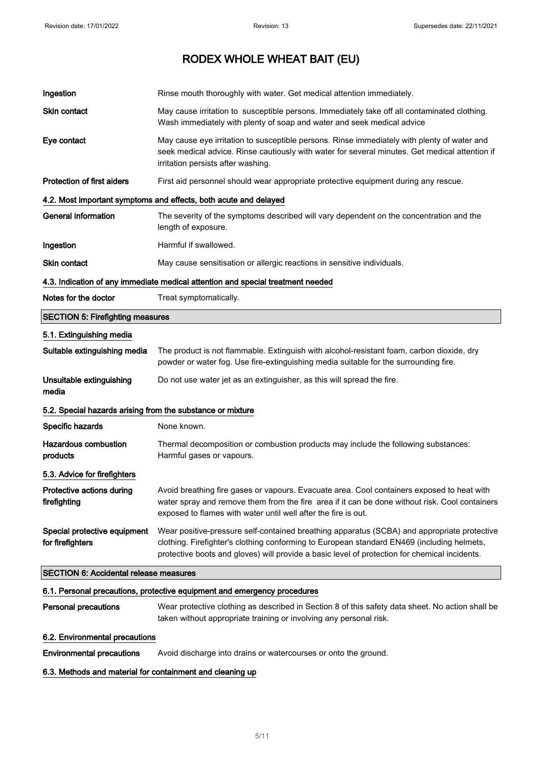| Ingestion                                                                       | Rinse mouth thoroughly with water. Get medical attention immediately.                                                                                                                                                                                                                      |  |
|---------------------------------------------------------------------------------|--------------------------------------------------------------------------------------------------------------------------------------------------------------------------------------------------------------------------------------------------------------------------------------------|--|
| Skin contact                                                                    | May cause irritation to susceptible persons. Immediately take off all contaminated clothing.<br>Wash immediately with plenty of soap and water and seek medical advice                                                                                                                     |  |
| Eye contact                                                                     | May cause eye irritation to susceptible persons. Rinse immediately with plenty of water and<br>seek medical advice. Rinse cautiously with water for several minutes. Get medical attention if<br>irritation persists after washing.                                                        |  |
| <b>Protection of first aiders</b>                                               | First aid personnel should wear appropriate protective equipment during any rescue.                                                                                                                                                                                                        |  |
|                                                                                 | 4.2. Most important symptoms and effects, both acute and delayed                                                                                                                                                                                                                           |  |
| <b>General information</b>                                                      | The severity of the symptoms described will vary dependent on the concentration and the<br>length of exposure.                                                                                                                                                                             |  |
| Ingestion                                                                       | Harmful if swallowed.                                                                                                                                                                                                                                                                      |  |
| Skin contact                                                                    | May cause sensitisation or allergic reactions in sensitive individuals.                                                                                                                                                                                                                    |  |
| 4.3. Indication of any immediate medical attention and special treatment needed |                                                                                                                                                                                                                                                                                            |  |
| Notes for the doctor                                                            | Treat symptomatically.                                                                                                                                                                                                                                                                     |  |
| <b>SECTION 5: Firefighting measures</b>                                         |                                                                                                                                                                                                                                                                                            |  |
| 5.1. Extinguishing media                                                        |                                                                                                                                                                                                                                                                                            |  |
| Suitable extinguishing media                                                    | The product is not flammable. Extinguish with alcohol-resistant foam, carbon dioxide, dry<br>powder or water fog. Use fire-extinguishing media suitable for the surrounding fire.                                                                                                          |  |
| Unsuitable extinguishing<br>media                                               | Do not use water jet as an extinguisher, as this will spread the fire.                                                                                                                                                                                                                     |  |
| 5.2. Special hazards arising from the substance or mixture                      |                                                                                                                                                                                                                                                                                            |  |
| Specific hazards                                                                | None known.                                                                                                                                                                                                                                                                                |  |
| <b>Hazardous combustion</b><br>products                                         | Thermal decomposition or combustion products may include the following substances:<br>Harmful gases or vapours.                                                                                                                                                                            |  |
| 5.3. Advice for firefighters                                                    |                                                                                                                                                                                                                                                                                            |  |
| Protective actions during<br>firefighting                                       | Avoid breathing fire gases or vapours. Evacuate area. Cool containers exposed to heat with<br>water spray and remove them from the fire area if it can be done without risk. Cool containers<br>exposed to flames with water until well after the fire is out.                             |  |
| Special protective equipment<br>for firefighters                                | Wear positive-pressure self-contained breathing apparatus (SCBA) and appropriate protective<br>clothing. Firefighter's clothing conforming to European standard EN469 (including helmets,<br>protective boots and gloves) will provide a basic level of protection for chemical incidents. |  |
|                                                                                 | <b>SECTION 6: Accidental release measures</b>                                                                                                                                                                                                                                              |  |
|                                                                                 | 6.1. Personal precautions, protective equipment and emergency procedures                                                                                                                                                                                                                   |  |
| <b>Personal precautions</b>                                                     | Wear protective clothing as described in Section 8 of this safety data sheet. No action shall be<br>taken without appropriate training or involving any personal risk.                                                                                                                     |  |
| 6.2. Environmental precautions                                                  |                                                                                                                                                                                                                                                                                            |  |

Environmental precautions Avoid discharge into drains or watercourses or onto the ground.

### 6.3. Methods and material for containment and cleaning up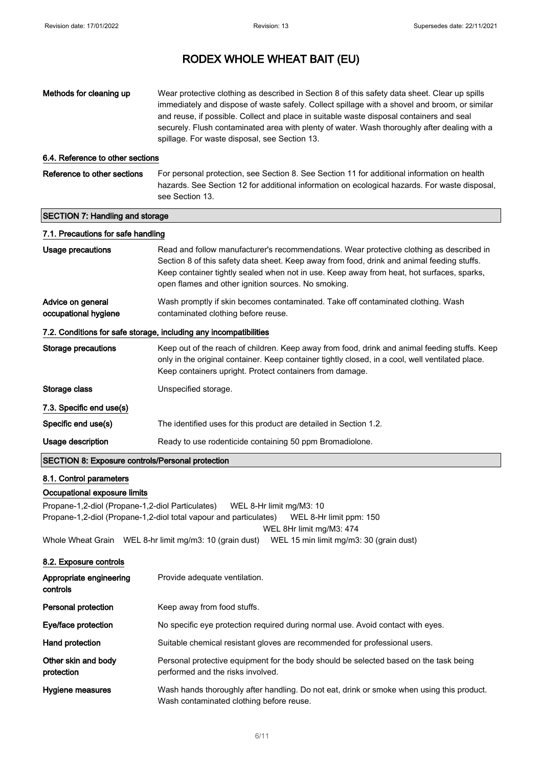| Methods for cleaning up                                                                                                                                                                                  | Wear protective clothing as described in Section 8 of this safety data sheet. Clear up spills<br>immediately and dispose of waste safely. Collect spillage with a shovel and broom, or similar<br>and reuse, if possible. Collect and place in suitable waste disposal containers and seal<br>securely. Flush contaminated area with plenty of water. Wash thoroughly after dealing with a<br>spillage. For waste disposal, see Section 13. |  |
|----------------------------------------------------------------------------------------------------------------------------------------------------------------------------------------------------------|---------------------------------------------------------------------------------------------------------------------------------------------------------------------------------------------------------------------------------------------------------------------------------------------------------------------------------------------------------------------------------------------------------------------------------------------|--|
| 6.4. Reference to other sections                                                                                                                                                                         |                                                                                                                                                                                                                                                                                                                                                                                                                                             |  |
| Reference to other sections                                                                                                                                                                              | For personal protection, see Section 8. See Section 11 for additional information on health<br>hazards. See Section 12 for additional information on ecological hazards. For waste disposal,<br>see Section 13.                                                                                                                                                                                                                             |  |
| <b>SECTION 7: Handling and storage</b>                                                                                                                                                                   |                                                                                                                                                                                                                                                                                                                                                                                                                                             |  |
| 7.1. Precautions for safe handling                                                                                                                                                                       |                                                                                                                                                                                                                                                                                                                                                                                                                                             |  |
| <b>Usage precautions</b>                                                                                                                                                                                 | Read and follow manufacturer's recommendations. Wear protective clothing as described in<br>Section 8 of this safety data sheet. Keep away from food, drink and animal feeding stuffs.<br>Keep container tightly sealed when not in use. Keep away from heat, hot surfaces, sparks,<br>open flames and other ignition sources. No smoking.                                                                                                  |  |
| Advice on general<br>occupational hygiene                                                                                                                                                                | Wash promptly if skin becomes contaminated. Take off contaminated clothing. Wash<br>contaminated clothing before reuse.                                                                                                                                                                                                                                                                                                                     |  |
|                                                                                                                                                                                                          | 7.2. Conditions for safe storage, including any incompatibilities                                                                                                                                                                                                                                                                                                                                                                           |  |
| <b>Storage precautions</b>                                                                                                                                                                               | Keep out of the reach of children. Keep away from food, drink and animal feeding stuffs. Keep<br>only in the original container. Keep container tightly closed, in a cool, well ventilated place.<br>Keep containers upright. Protect containers from damage.                                                                                                                                                                               |  |
| Storage class                                                                                                                                                                                            | Unspecified storage.                                                                                                                                                                                                                                                                                                                                                                                                                        |  |
| 7.3. Specific end use(s)                                                                                                                                                                                 |                                                                                                                                                                                                                                                                                                                                                                                                                                             |  |
| Specific end use(s)                                                                                                                                                                                      | The identified uses for this product are detailed in Section 1.2.                                                                                                                                                                                                                                                                                                                                                                           |  |
| Usage description                                                                                                                                                                                        | Ready to use rodenticide containing 50 ppm Bromadiolone.                                                                                                                                                                                                                                                                                                                                                                                    |  |
| <b>SECTION 8: Exposure controls/Personal protection</b>                                                                                                                                                  |                                                                                                                                                                                                                                                                                                                                                                                                                                             |  |
| 8.1. Control parameters                                                                                                                                                                                  |                                                                                                                                                                                                                                                                                                                                                                                                                                             |  |
| Occupational exposure limits                                                                                                                                                                             |                                                                                                                                                                                                                                                                                                                                                                                                                                             |  |
| Propane-1,2-diol (Propane-1,2-diol Particulates)<br>WEL 8-Hr limit mg/M3: 10<br>Propane-1,2-diol (Propane-1,2-diol total vapour and particulates)<br>WEL 8-Hr limit ppm: 150<br>WEL 8Hr limit mg/M3: 474 |                                                                                                                                                                                                                                                                                                                                                                                                                                             |  |
| Whole Wheat Grain WEL 8-hr limit mg/m3: 10 (grain dust)                                                                                                                                                  | WEL 15 min limit mg/m3: 30 (grain dust)                                                                                                                                                                                                                                                                                                                                                                                                     |  |
| 8.2. Exposure controls                                                                                                                                                                                   |                                                                                                                                                                                                                                                                                                                                                                                                                                             |  |
| Appropriate engineering<br>oontrolo                                                                                                                                                                      | Provide adequate ventilation.                                                                                                                                                                                                                                                                                                                                                                                                               |  |

| controls                          |                                                                                                                                       |
|-----------------------------------|---------------------------------------------------------------------------------------------------------------------------------------|
| <b>Personal protection</b>        | Keep away from food stuffs.                                                                                                           |
| Eye/face protection               | No specific eye protection required during normal use. Avoid contact with eyes.                                                       |
| Hand protection                   | Suitable chemical resistant gloves are recommended for professional users.                                                            |
| Other skin and body<br>protection | Personal protective equipment for the body should be selected based on the task being<br>performed and the risks involved.            |
| Hygiene measures                  | Wash hands thoroughly after handling. Do not eat, drink or smoke when using this product.<br>Wash contaminated clothing before reuse. |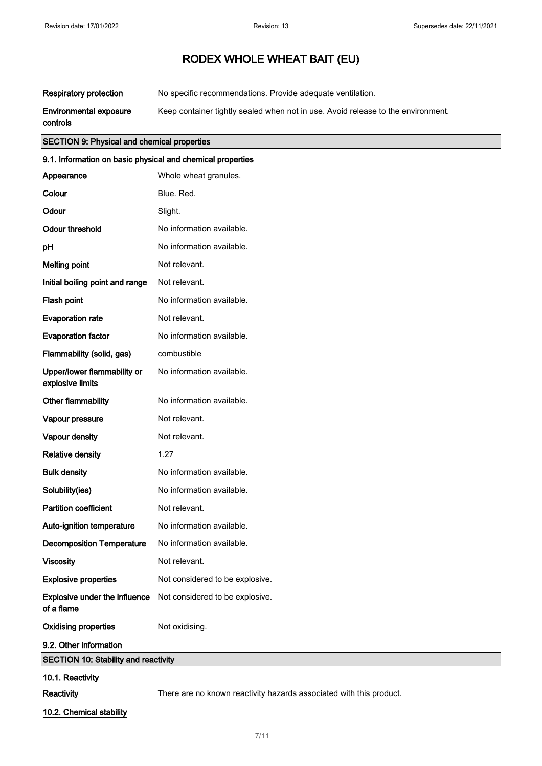Respiratory protection No specific recommendations. Provide adequate ventilation.

Environmental exposure Keep container tightly sealed when not in use. Avoid release to the environment.

controls

### SECTION 9: Physical and chemical properties

| 9.1. Information on basic physical and chemical properties |                                 |
|------------------------------------------------------------|---------------------------------|
| Appearance                                                 | Whole wheat granules.           |
| Colour                                                     | Blue. Red.                      |
| Odour                                                      | Slight.                         |
| <b>Odour threshold</b>                                     | No information available.       |
| рH                                                         | No information available.       |
| <b>Melting point</b>                                       | Not relevant.                   |
| Initial boiling point and range                            | Not relevant.                   |
| Flash point                                                | No information available.       |
| <b>Evaporation rate</b>                                    | Not relevant.                   |
| <b>Evaporation factor</b>                                  | No information available.       |
| Flammability (solid, gas)                                  | combustible                     |
| Upper/lower flammability or<br>explosive limits            | No information available.       |
| Other flammability                                         | No information available.       |
| Vapour pressure                                            | Not relevant.                   |
| Vapour density                                             | Not relevant.                   |
| <b>Relative density</b>                                    | 1.27                            |
| <b>Bulk density</b>                                        | No information available.       |
| Solubility(ies)                                            | No information available.       |
| <b>Partition coefficient</b>                               | Not relevant.                   |
| Auto-ignition temperature                                  | No information available.       |
| <b>Decomposition Temperature</b>                           | No information available.       |
| <b>Viscosity</b>                                           | Not relevant.                   |
| <b>Explosive properties</b>                                | Not considered to be explosive. |
| Explosive under the influence<br>of a flame                | Not considered to be explosive. |
| <b>Oxidising properties</b>                                | Not oxidising.                  |
| 9.2. Other information                                     |                                 |
| <b>SECTION 10: Stability and reactivity</b>                |                                 |
| 10.1. Reactivity                                           |                                 |

Reactivity **There are no known reactivity hazards associated with this product.** 

10.2. Chemical stability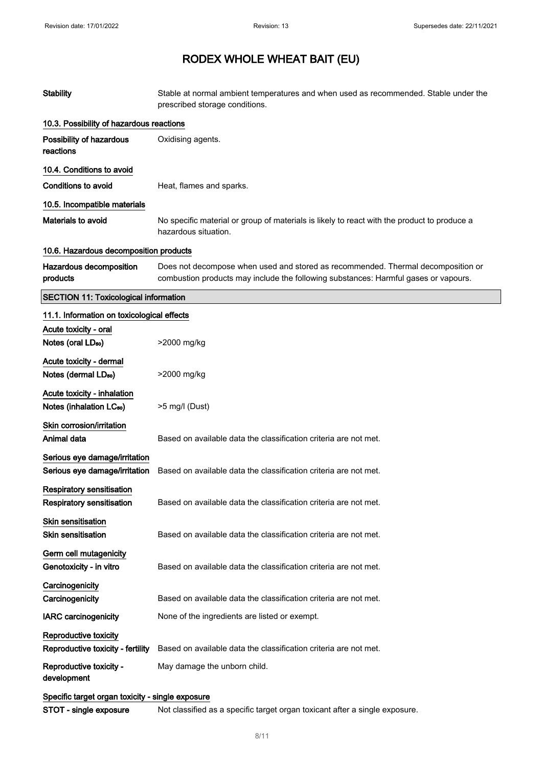| <b>Stability</b>                                                     | Stable at normal ambient temperatures and when used as recommended. Stable under the<br>prescribed storage conditions.                                                  |
|----------------------------------------------------------------------|-------------------------------------------------------------------------------------------------------------------------------------------------------------------------|
| 10.3. Possibility of hazardous reactions                             |                                                                                                                                                                         |
| Possibility of hazardous<br>reactions                                | Oxidising agents.                                                                                                                                                       |
| 10.4. Conditions to avoid                                            |                                                                                                                                                                         |
| <b>Conditions to avoid</b>                                           | Heat, flames and sparks.                                                                                                                                                |
| 10.5. Incompatible materials                                         |                                                                                                                                                                         |
| <b>Materials to avoid</b>                                            | No specific material or group of materials is likely to react with the product to produce a<br>hazardous situation.                                                     |
| 10.6. Hazardous decomposition products                               |                                                                                                                                                                         |
| Hazardous decomposition<br>products                                  | Does not decompose when used and stored as recommended. Thermal decomposition or<br>combustion products may include the following substances: Harmful gases or vapours. |
| <b>SECTION 11: Toxicological information</b>                         |                                                                                                                                                                         |
| 11.1. Information on toxicological effects                           |                                                                                                                                                                         |
| Acute toxicity - oral<br>Notes (oral LD <sub>50</sub> )              | >2000 mg/kg                                                                                                                                                             |
| Acute toxicity - dermal<br>Notes (dermal LD <sub>50</sub> )          | >2000 mg/kg                                                                                                                                                             |
| Acute toxicity - inhalation<br>Notes (inhalation LC <sub>50</sub> )  | >5 mg/l (Dust)                                                                                                                                                          |
| Skin corrosion/irritation<br>Animal data                             | Based on available data the classification criteria are not met.                                                                                                        |
| Serious eye damage/irritation<br>Serious eye damage/irritation       | Based on available data the classification criteria are not met.                                                                                                        |
| <b>Respiratory sensitisation</b><br><b>Respiratory sensitisation</b> | Based on available data the classification criteria are not met.                                                                                                        |
| <b>Skin sensitisation</b><br><b>Skin sensitisation</b>               | Based on available data the classification criteria are not met.                                                                                                        |
| Germ cell mutagenicity<br>Genotoxicity - in vitro                    | Based on available data the classification criteria are not met.                                                                                                        |
| Carcinogenicity<br>Carcinogenicity                                   | Based on available data the classification criteria are not met.                                                                                                        |
| <b>IARC</b> carcinogenicity                                          | None of the ingredients are listed or exempt.                                                                                                                           |
| Reproductive toxicity<br>Reproductive toxicity - fertility           | Based on available data the classification criteria are not met.                                                                                                        |
| Reproductive toxicity -<br>development                               | May damage the unborn child.                                                                                                                                            |
| Specific target organ toxicity - single exposure                     |                                                                                                                                                                         |
| STOT - single exposure                                               | Not classified as a specific target organ toxicant after a single exposure.                                                                                             |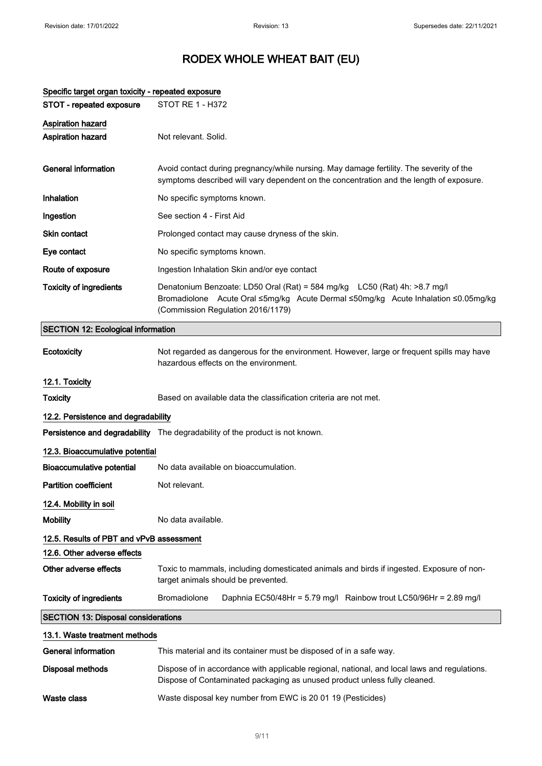| Specific target organ toxicity - repeated exposure |                                                                                                                                                                                                     |
|----------------------------------------------------|-----------------------------------------------------------------------------------------------------------------------------------------------------------------------------------------------------|
| STOT - repeated exposure                           | <b>STOT RE 1 - H372</b>                                                                                                                                                                             |
| <b>Aspiration hazard</b>                           |                                                                                                                                                                                                     |
| <b>Aspiration hazard</b>                           | Not relevant. Solid.                                                                                                                                                                                |
| <b>General information</b>                         | Avoid contact during pregnancy/while nursing. May damage fertility. The severity of the<br>symptoms described will vary dependent on the concentration and the length of exposure.                  |
| Inhalation                                         | No specific symptoms known.                                                                                                                                                                         |
| Ingestion                                          | See section 4 - First Aid                                                                                                                                                                           |
| Skin contact                                       | Prolonged contact may cause dryness of the skin.                                                                                                                                                    |
| Eye contact                                        | No specific symptoms known.                                                                                                                                                                         |
| Route of exposure                                  | Ingestion Inhalation Skin and/or eye contact                                                                                                                                                        |
| <b>Toxicity of ingredients</b>                     | Denatonium Benzoate: LD50 Oral (Rat) = 584 mg/kg LC50 (Rat) 4h: >8.7 mg/l<br>Bromadiolone Acute Oral ≤5mg/kg Acute Dermal ≤50mg/kg Acute Inhalation ≤0.05mg/kg<br>(Commission Regulation 2016/1179) |
| <b>SECTION 12: Ecological information</b>          |                                                                                                                                                                                                     |
| Ecotoxicity                                        | Not regarded as dangerous for the environment. However, large or frequent spills may have<br>hazardous effects on the environment.                                                                  |
| 12.1. Toxicity                                     |                                                                                                                                                                                                     |
| <b>Toxicity</b>                                    | Based on available data the classification criteria are not met.                                                                                                                                    |
| 12.2. Persistence and degradability                |                                                                                                                                                                                                     |
|                                                    | Persistence and degradability The degradability of the product is not known.                                                                                                                        |
| 12.3. Bioaccumulative potential                    |                                                                                                                                                                                                     |
| <b>Bioaccumulative potential</b>                   | No data available on bioaccumulation.                                                                                                                                                               |
| <b>Partition coefficient</b>                       | Not relevant.                                                                                                                                                                                       |
| 12.4. Mobility in soil                             |                                                                                                                                                                                                     |
| <b>Mobility</b>                                    | No data available.                                                                                                                                                                                  |
| 12.5. Results of PBT and vPvB assessment           |                                                                                                                                                                                                     |
| 12.6. Other adverse effects                        |                                                                                                                                                                                                     |
| Other adverse effects                              | Toxic to mammals, including domesticated animals and birds if ingested. Exposure of non-<br>target animals should be prevented.                                                                     |
| <b>Toxicity of ingredients</b>                     | <b>Bromadiolone</b><br>Daphnia EC50/48Hr = 5.79 mg/l Rainbow trout LC50/96Hr = 2.89 mg/l                                                                                                            |
| <b>SECTION 13: Disposal considerations</b>         |                                                                                                                                                                                                     |
| 13.1. Waste treatment methods                      |                                                                                                                                                                                                     |
| <b>General information</b>                         | This material and its container must be disposed of in a safe way.                                                                                                                                  |
| <b>Disposal methods</b>                            | Dispose of in accordance with applicable regional, national, and local laws and regulations.<br>Dispose of Contaminated packaging as unused product unless fully cleaned.                           |
| <b>Waste class</b>                                 | Waste disposal key number from EWC is 20 01 19 (Pesticides)                                                                                                                                         |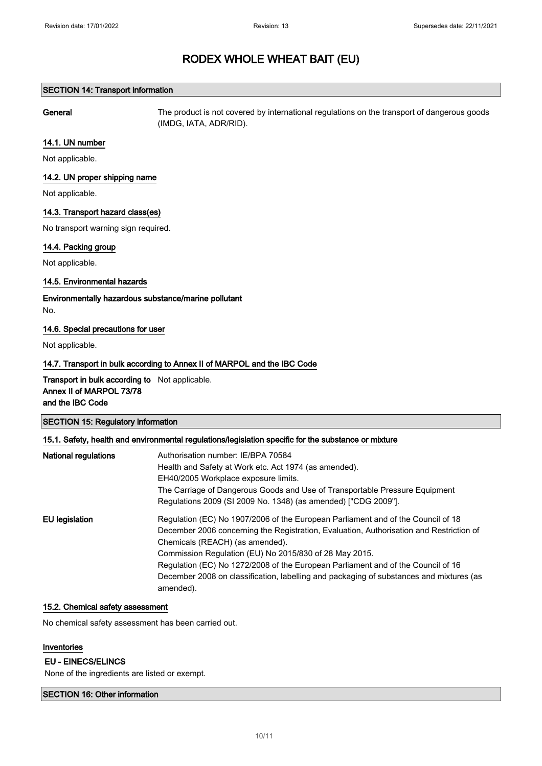#### SECTION 14: Transport information

General The product is not covered by international regulations on the transport of dangerous goods (IMDG, IATA, ADR/RID).

#### 14.1. UN number

Not applicable.

#### 14.2. UN proper shipping name

Not applicable.

#### 14.3. Transport hazard class(es)

No transport warning sign required.

#### 14.4. Packing group

Not applicable.

#### 14.5. Environmental hazards

Environmentally hazardous substance/marine pollutant No.

#### 14.6. Special precautions for user

Not applicable.

### 14.7. Transport in bulk according to Annex II of MARPOL and the IBC Code

Transport in bulk according to Not applicable. Annex II of MARPOL 73/78 and the IBC Code

| <b>SECTION 15: Regulatory information</b> |  |
|-------------------------------------------|--|
|-------------------------------------------|--|

#### 15.1. Safety, health and environmental regulations/legislation specific for the substance or mixture

| <b>National regulations</b> | Authorisation number: IE/BPA 70584                                                      |
|-----------------------------|-----------------------------------------------------------------------------------------|
|                             | Health and Safety at Work etc. Act 1974 (as amended).                                   |
|                             | EH40/2005 Workplace exposure limits.                                                    |
|                             | The Carriage of Dangerous Goods and Use of Transportable Pressure Equipment             |
|                             | Regulations 2009 (SI 2009 No. 1348) (as amended) ["CDG 2009"].                          |
| EU legislation              | Regulation (EC) No 1907/2006 of the European Parliament and of the Council of 18        |
|                             | December 2006 concerning the Registration, Evaluation, Authorisation and Restriction of |
|                             | Chemicals (REACH) (as amended).                                                         |
|                             | Commission Regulation (EU) No 2015/830 of 28 May 2015.                                  |
|                             | Regulation (EC) No 1272/2008 of the European Parliament and of the Council of 16        |
|                             | December 2008 on classification, labelling and packaging of substances and mixtures (as |
|                             | amended).                                                                               |

#### 15.2. Chemical safety assessment

No chemical safety assessment has been carried out.

## Inventories

#### EU - EINECS/ELINCS

None of the ingredients are listed or exempt.

#### SECTION 16: Other information